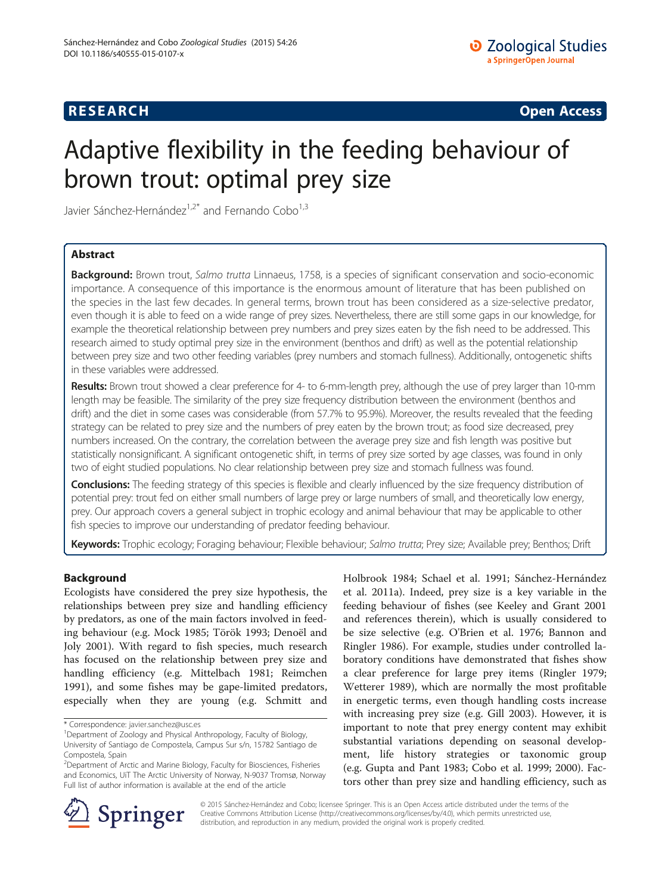# **RESEARCH CHINESE ARCH CHINESE ARCH CHINESE ARCH <b>CHINESE ARCH**

# Adaptive flexibility in the feeding behaviour of brown trout: optimal prey size

Javier Sánchez-Hernández<sup>1,2\*</sup> and Fernando Cobo<sup>1,3</sup>

# Abstract

Background: Brown trout, Salmo trutta Linnaeus, 1758, is a species of significant conservation and socio-economic importance. A consequence of this importance is the enormous amount of literature that has been published on the species in the last few decades. In general terms, brown trout has been considered as a size-selective predator, even though it is able to feed on a wide range of prey sizes. Nevertheless, there are still some gaps in our knowledge, for example the theoretical relationship between prey numbers and prey sizes eaten by the fish need to be addressed. This research aimed to study optimal prey size in the environment (benthos and drift) as well as the potential relationship between prey size and two other feeding variables (prey numbers and stomach fullness). Additionally, ontogenetic shifts in these variables were addressed.

Results: Brown trout showed a clear preference for 4- to 6-mm-length prey, although the use of prey larger than 10-mm length may be feasible. The similarity of the prey size frequency distribution between the environment (benthos and drift) and the diet in some cases was considerable (from 57.7% to 95.9%). Moreover, the results revealed that the feeding strategy can be related to prey size and the numbers of prey eaten by the brown trout; as food size decreased, prey numbers increased. On the contrary, the correlation between the average prey size and fish length was positive but statistically nonsignificant. A significant ontogenetic shift, in terms of prey size sorted by age classes, was found in only two of eight studied populations. No clear relationship between prey size and stomach fullness was found.

Conclusions: The feeding strategy of this species is flexible and clearly influenced by the size frequency distribution of potential prey: trout fed on either small numbers of large prey or large numbers of small, and theoretically low energy, prey. Our approach covers a general subject in trophic ecology and animal behaviour that may be applicable to other fish species to improve our understanding of predator feeding behaviour.

Keywords: Trophic ecology; Foraging behaviour; Flexible behaviour; Salmo trutta; Prey size; Available prey; Benthos; Drift

# Background

Ecologists have considered the prey size hypothesis, the relationships between prey size and handling efficiency by predators, as one of the main factors involved in feeding behaviour (e.g. Mock [1985](#page-7-0); Török [1993](#page-8-0); Denoël and Joly [2001\)](#page-7-0). With regard to fish species, much research has focused on the relationship between prey size and handling efficiency (e.g. Mittelbach [1981](#page-7-0); Reimchen [1991](#page-7-0)), and some fishes may be gape-limited predators, especially when they are young (e.g. Schmitt and

Holbrook [1984;](#page-8-0) Schael et al. [1991](#page-8-0); Sánchez-Hernández et al. [2011a](#page-8-0)). Indeed, prey size is a key variable in the feeding behaviour of fishes (see Keeley and Grant [2001](#page-7-0) and references therein), which is usually considered to be size selective (e.g. O'Brien et al. [1976](#page-7-0); Bannon and Ringler [1986](#page-7-0)). For example, studies under controlled laboratory conditions have demonstrated that fishes show a clear preference for large prey items (Ringler [1979](#page-8-0); Wetterer [1989\)](#page-8-0), which are normally the most profitable in energetic terms, even though handling costs increase with increasing prey size (e.g. Gill [2003](#page-7-0)). However, it is important to note that prey energy content may exhibit substantial variations depending on seasonal development, life history strategies or taxonomic group (e.g. Gupta and Pant [1983](#page-7-0); Cobo et al. [1999; 2000\)](#page-7-0). Factors other than prey size and handling efficiency, such as



© 2015 Sánchez-Hernández and Cobo; licensee Springer. This is an Open Access article distributed under the terms of the Creative Commons Attribution License [\(http://creativecommons.org/licenses/by/4.0\)](http://creativecommons.org/licenses/by/4.0), which permits unrestricted use, distribution, and reproduction in any medium, provided the original work is properly credited.

<sup>\*</sup> Correspondence: [javier.sanchez@usc.es](mailto:javier.sanchez@usc.es) <sup>1</sup>

<sup>&</sup>lt;sup>1</sup>Department of Zoology and Physical Anthropology, Faculty of Biology,

University of Santiago de Compostela, Campus Sur s/n, 15782 Santiago de Compostela, Spain

<sup>&</sup>lt;sup>2</sup>Department of Arctic and Marine Biology, Faculty for Biosciences, Fisheries and Economics, UiT The Arctic University of Norway, N-9037 Tromsø, Norway Full list of author information is available at the end of the article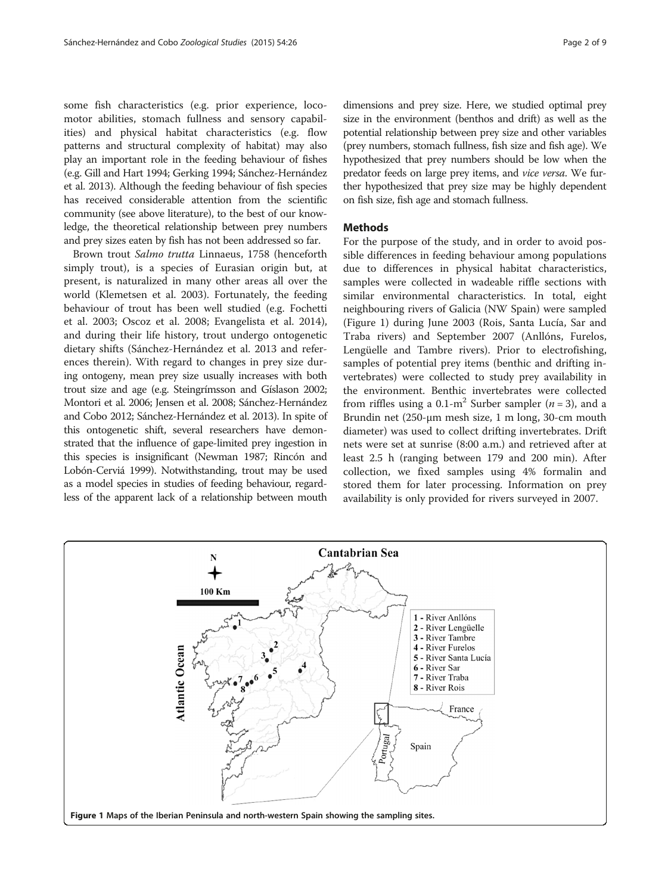some fish characteristics (e.g. prior experience, locomotor abilities, stomach fullness and sensory capabilities) and physical habitat characteristics (e.g. flow patterns and structural complexity of habitat) may also play an important role in the feeding behaviour of fishes (e.g. Gill and Hart [1994;](#page-7-0) Gerking [1994;](#page-7-0) Sánchez-Hernández et al. [2013\)](#page-8-0). Although the feeding behaviour of fish species has received considerable attention from the scientific community (see above literature), to the best of our knowledge, the theoretical relationship between prey numbers and prey sizes eaten by fish has not been addressed so far.

Brown trout Salmo trutta Linnaeus, 1758 (henceforth simply trout), is a species of Eurasian origin but, at present, is naturalized in many other areas all over the world (Klemetsen et al. [2003](#page-7-0)). Fortunately, the feeding behaviour of trout has been well studied (e.g. Fochetti et al. [2003;](#page-7-0) Oscoz et al. [2008;](#page-7-0) Evangelista et al. [2014](#page-7-0)), and during their life history, trout undergo ontogenetic dietary shifts (Sánchez-Hernández et al. [2013](#page-8-0) and references therein). With regard to changes in prey size during ontogeny, mean prey size usually increases with both trout size and age (e.g. Steingrímsson and Gíslason [2002](#page-8-0); Montori et al. [2006](#page-7-0); Jensen et al. [2008](#page-7-0); Sánchez-Hernández and Cobo [2012;](#page-8-0) Sánchez-Hernández et al. [2013\)](#page-8-0). In spite of this ontogenetic shift, several researchers have demonstrated that the influence of gape-limited prey ingestion in this species is insignificant (Newman [1987](#page-7-0); Rincón and Lobón-Cerviá [1999\)](#page-7-0). Notwithstanding, trout may be used as a model species in studies of feeding behaviour, regardless of the apparent lack of a relationship between mouth dimensions and prey size. Here, we studied optimal prey size in the environment (benthos and drift) as well as the potential relationship between prey size and other variables (prey numbers, stomach fullness, fish size and fish age). We hypothesized that prey numbers should be low when the predator feeds on large prey items, and vice versa. We further hypothesized that prey size may be highly dependent on fish size, fish age and stomach fullness.

### **Methods**

For the purpose of the study, and in order to avoid possible differences in feeding behaviour among populations due to differences in physical habitat characteristics, samples were collected in wadeable riffle sections with similar environmental characteristics. In total, eight neighbouring rivers of Galicia (NW Spain) were sampled (Figure 1) during June 2003 (Rois, Santa Lucía, Sar and Traba rivers) and September 2007 (Anllóns, Furelos, Lengüelle and Tambre rivers). Prior to electrofishing, samples of potential prey items (benthic and drifting invertebrates) were collected to study prey availability in the environment. Benthic invertebrates were collected from riffles using a 0.1-m<sup>2</sup> Surber sampler ( $n = 3$ ), and a Brundin net (250-μm mesh size, 1 m long, 30-cm mouth diameter) was used to collect drifting invertebrates. Drift nets were set at sunrise (8:00 a.m.) and retrieved after at least 2.5 h (ranging between 179 and 200 min). After collection, we fixed samples using 4% formalin and stored them for later processing. Information on prey availability is only provided for rivers surveyed in 2007.

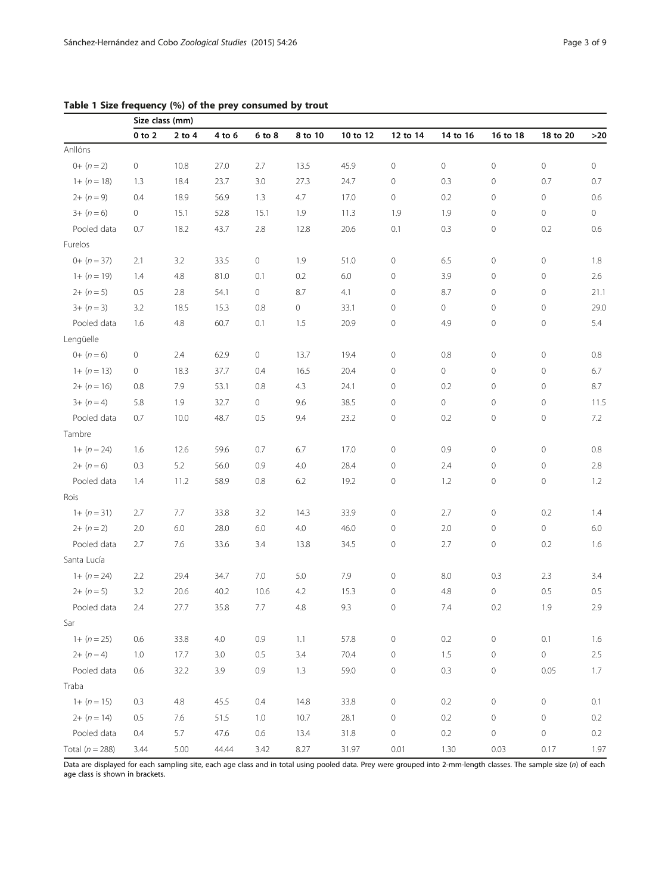|                   | Size class (mm) |            |        |        |         |          |                     |                     |                     |                     |         |
|-------------------|-----------------|------------|--------|--------|---------|----------|---------------------|---------------------|---------------------|---------------------|---------|
|                   | $0$ to $2$      | $2$ to $4$ | 4 to 6 | 6 to 8 | 8 to 10 | 10 to 12 | 12 to 14            | 14 to 16            | 16 to 18            | 18 to 20            | $>20$   |
| Anllóns           |                 |            |        |        |         |          |                     |                     |                     |                     |         |
| $0+ (n = 2)$      | 0               | 10.8       | 27.0   | 2.7    | 13.5    | 45.9     | $\mathbf 0$         | $\circ$             | $\mathbf 0$         | $\circ$             | $\circ$ |
| $1+(n=18)$        | 1.3             | 18.4       | 23.7   | 3.0    | 27.3    | 24.7     | $\mathbf 0$         | 0.3                 | $\mathbf 0$         | 0.7                 | 0.7     |
| $2+(n=9)$         | 0.4             | 18.9       | 56.9   | 1.3    | 4.7     | 17.0     | $\mathbf 0$         | 0.2                 | 0                   | 0                   | 0.6     |
| $3+(n=6)$         | 0               | 15.1       | 52.8   | 15.1   | 1.9     | 11.3     | 1.9                 | 1.9                 | 0                   | 0                   | $\circ$ |
| Pooled data       | 0.7             | 18.2       | 43.7   | 2.8    | 12.8    | 20.6     | 0.1                 | 0.3                 | $\mathbf 0$         | 0.2                 | 0.6     |
| Furelos           |                 |            |        |        |         |          |                     |                     |                     |                     |         |
| $0+ (n=37)$       | 2.1             | 3.2        | 33.5   | 0      | 1.9     | 51.0     | 0                   | 6.5                 | $\mathbf 0$         | 0                   | 1.8     |
| $1+(n=19)$        | 1.4             | 4.8        | 81.0   | 0.1    | 0.2     | 6.0      | $\mathbf 0$         | 3.9                 | $\mathbf 0$         | $\mathbf 0$         | 2.6     |
| $2+(n=5)$         | 0.5             | 2.8        | 54.1   | 0      | 8.7     | 4.1      | $\mathbf 0$         | 8.7                 | 0                   | 0                   | 21.1    |
| $3+(n=3)$         | 3.2             | 18.5       | 15.3   | 0.8    | 0       | 33.1     | $\mathbf 0$         | 0                   | 0                   | 0                   | 29.0    |
| Pooled data       | 1.6             | 4.8        | 60.7   | 0.1    | 1.5     | 20.9     | $\mathbf 0$         | 4.9                 | $\mathbf 0$         | 0                   | 5.4     |
| Lengüelle         |                 |            |        |        |         |          |                     |                     |                     |                     |         |
| $0+ (n=6)$        | 0               | 2.4        | 62.9   | 0      | 13.7    | 19.4     | 0                   | 0.8                 | $\mathbf 0$         | 0                   | 0.8     |
| $1+(n=13)$        | $\circ$         | 18.3       | 37.7   | 0.4    | 16.5    | 20.4     | $\mathbf 0$         | $\mathsf{O}\xspace$ | $\mathbf 0$         | $\mathbf 0$         | 6.7     |
| $2+(n=16)$        | 0.8             | 7.9        | 53.1   | 0.8    | 4.3     | 24.1     | $\mathbf 0$         | 0.2                 | $\mathbf 0$         | $\circ$             | 8.7     |
| $3+(n=4)$         | 5.8             | 1.9        | 32.7   | 0      | 9.6     | 38.5     | 0                   | $\circ$             | 0                   | 0                   | 11.5    |
| Pooled data       | 0.7             | 10.0       | 48.7   | 0.5    | 9.4     | 23.2     | $\mathbf 0$         | 0.2                 | $\mathsf{O}\xspace$ | 0                   | 7.2     |
| Tambre            |                 |            |        |        |         |          |                     |                     |                     |                     |         |
| $1+(n=24)$        | 1.6             | 12.6       | 59.6   | 0.7    | 6.7     | 17.0     | 0                   | 0.9                 | 0                   | 0                   | 0.8     |
| $2+(n=6)$         | 0.3             | 5.2        | 56.0   | 0.9    | 4.0     | 28.4     | 0                   | 2.4                 | 0                   | 0                   | 2.8     |
| Pooled data       | 1.4             | 11.2       | 58.9   | 0.8    | 6.2     | 19.2     | 0                   | 1.2                 | 0                   | 0                   | 1.2     |
| Rois              |                 |            |        |        |         |          |                     |                     |                     |                     |         |
| $1+(n=31)$        | 2.7             | 7.7        | 33.8   | 3.2    | 14.3    | 33.9     | $\mathbf 0$         | 2.7                 | $\mathbf 0$         | 0.2                 | 1.4     |
| $2+(n=2)$         | 2.0             | 6.0        | 28.0   | 6.0    | 4.0     | 46.0     | 0                   | 2.0                 | 0                   | 0                   | 6.0     |
| Pooled data       | 2.7             | 7.6        | 33.6   | 3.4    | 13.8    | 34.5     | $\mathbb O$         | 2.7                 | $\mathbf 0$         | 0.2                 | 1.6     |
| Santa Lucía       |                 |            |        |        |         |          |                     |                     |                     |                     |         |
| $1+(n=24)$        | 2.2             | 29.4       | 34.7   | 7.0    | 5.0     | 7.9      | $\mathbf 0$         | 8.0                 | 0.3                 | 2.3                 | 3.4     |
| $2+(n=5)$         | 3.2             | 20.6       | 40.2   | 10.6   | 4.2     | 15.3     | 0                   | 4.8                 | 0                   | 0.5                 | 0.5     |
| Pooled data       | 2.4             | 27.7       | 35.8   | 7.7    | 4.8     | 9.3      | $\mathbf 0$         | 7.4                 | 0.2                 | 1.9                 | 2.9     |
| Sar               |                 |            |        |        |         |          |                     |                     |                     |                     |         |
| $1+(n=25)$        | 0.6             | 33.8       | 4.0    | 0.9    | 1.1     | 57.8     | $\mathbf 0$         | 0.2                 | $\mathbf 0$         | 0.1                 | $1.6\,$ |
| $2+(n=4)$         | 1.0             | 17.7       | 3.0    | 0.5    | 3.4     | 70.4     | $\mathbf 0$         | $1.5\,$             | $\mathbf 0$         | $\mathsf{O}\xspace$ | 2.5     |
| Pooled data       | 0.6             | 32.2       | 3.9    | 0.9    | 1.3     | 59.0     | $\mathbf 0$         | 0.3                 | $\mathbf 0$         | 0.05                | 1.7     |
| Traba             |                 |            |        |        |         |          |                     |                     |                     |                     |         |
| $1+(n=15)$        | 0.3             | $4.8\,$    | 45.5   | 0.4    | 14.8    | 33.8     | $\mathsf{O}\xspace$ | 0.2                 | $\mathsf{O}\xspace$ | 0                   | 0.1     |
| $2+(n=14)$        | 0.5             | 7.6        | 51.5   | 1.0    | 10.7    | 28.1     | $\mathbf 0$         | 0.2                 | $\mathbf 0$         | $\mathsf{O}\xspace$ | 0.2     |
| Pooled data       | 0.4             | 5.7        | 47.6   | 0.6    | 13.4    | 31.8     | $\mathsf{O}\xspace$ | 0.2                 | $\mathsf{O}\xspace$ | 0                   | 0.2     |
| Total $(n = 288)$ | 3.44            | 5.00       | 44.44  | 3.42   | 8.27    | 31.97    | 0.01                | 1.30                | 0.03                | 0.17                | 1.97    |

<span id="page-2-0"></span>Table 1 Size frequency (%) of the prey consumed by trout

Data are displayed for each sampling site, each age class and in total using pooled data. Prey were grouped into 2-mm-length classes. The sample size (n) of each age class is shown in brackets.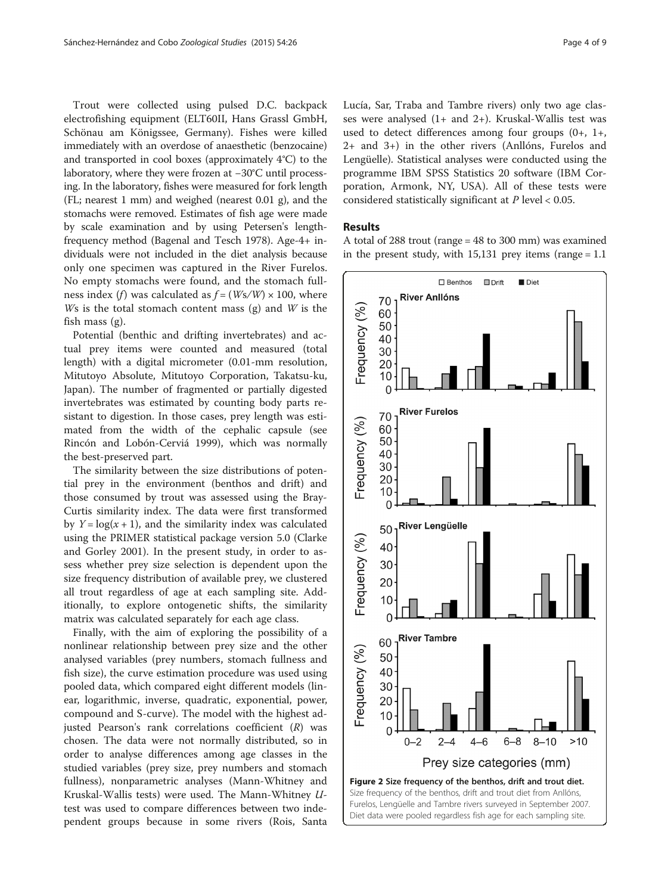<span id="page-3-0"></span>Trout were collected using pulsed D.C. backpack electrofishing equipment (ELT60II, Hans Grassl GmbH, Schönau am Königssee, Germany). Fishes were killed immediately with an overdose of anaesthetic (benzocaine) and transported in cool boxes (approximately 4°C) to the laboratory, where they were frozen at −30°C until processing. In the laboratory, fishes were measured for fork length (FL; nearest 1 mm) and weighed (nearest 0.01 g), and the stomachs were removed. Estimates of fish age were made by scale examination and by using Petersen's lengthfrequency method (Bagenal and Tesch [1978](#page-7-0)). Age-4+ individuals were not included in the diet analysis because only one specimen was captured in the River Furelos. No empty stomachs were found, and the stomach fullness index (f) was calculated as  $f = (Ws/W) \times 100$ , where Ws is the total stomach content mass  $(g)$  and W is the fish mass (g).

Potential (benthic and drifting invertebrates) and actual prey items were counted and measured (total length) with a digital micrometer (0.01-mm resolution, Mitutoyo Absolute, Mitutoyo Corporation, Takatsu-ku, Japan). The number of fragmented or partially digested invertebrates was estimated by counting body parts resistant to digestion. In those cases, prey length was estimated from the width of the cephalic capsule (see Rincón and Lobón-Cerviá [1999\)](#page-7-0), which was normally the best-preserved part.

The similarity between the size distributions of potential prey in the environment (benthos and drift) and those consumed by trout was assessed using the Bray-Curtis similarity index. The data were first transformed by  $Y = \log(x + 1)$ , and the similarity index was calculated using the PRIMER statistical package version 5.0 (Clarke and Gorley [2001\)](#page-7-0). In the present study, in order to assess whether prey size selection is dependent upon the size frequency distribution of available prey, we clustered all trout regardless of age at each sampling site. Additionally, to explore ontogenetic shifts, the similarity matrix was calculated separately for each age class.

Finally, with the aim of exploring the possibility of a nonlinear relationship between prey size and the other analysed variables (prey numbers, stomach fullness and fish size), the curve estimation procedure was used using pooled data, which compared eight different models (linear, logarithmic, inverse, quadratic, exponential, power, compound and S-curve). The model with the highest adjusted Pearson's rank correlations coefficient (R) was chosen. The data were not normally distributed, so in order to analyse differences among age classes in the studied variables (prey size, prey numbers and stomach fullness), nonparametric analyses (Mann-Whitney and Kruskal-Wallis tests) were used. The Mann-Whitney Utest was used to compare differences between two independent groups because in some rivers (Rois, Santa Lucía, Sar, Traba and Tambre rivers) only two age classes were analysed (1+ and 2+). Kruskal-Wallis test was used to detect differences among four groups (0+, 1+, 2+ and 3+) in the other rivers (Anllóns, Furelos and Lengüelle). Statistical analyses were conducted using the programme IBM SPSS Statistics 20 software (IBM Corporation, Armonk, NY, USA). All of these tests were considered statistically significant at P level < 0.05.

## Results

A total of 288 trout (range = 48 to 300 mm) was examined in the present study, with  $15,131$  prey items (range = 1.1)

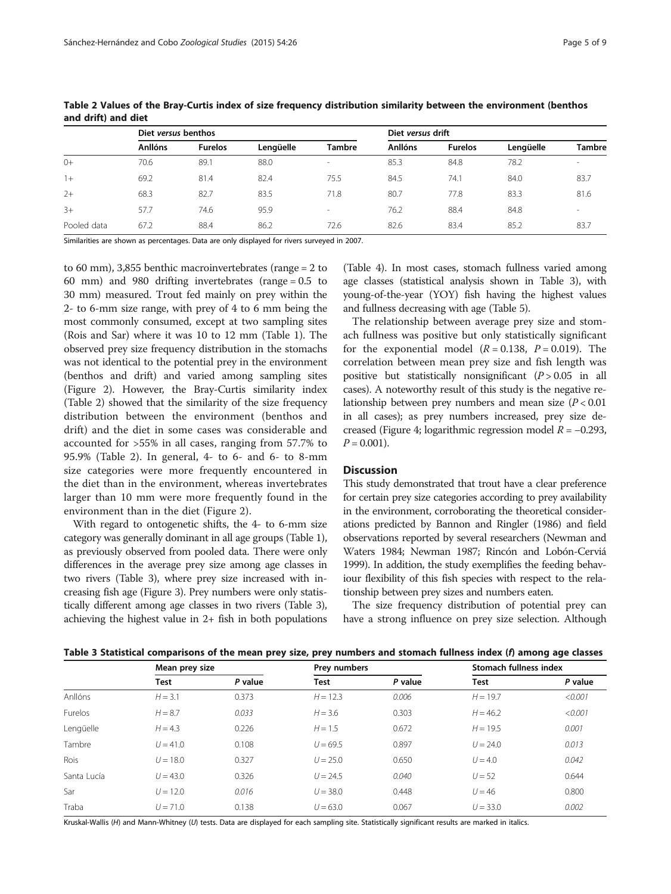|             | Diet versus benthos |                |           |        |                | Diet versus drift |           |               |  |
|-------------|---------------------|----------------|-----------|--------|----------------|-------------------|-----------|---------------|--|
|             | <b>Anllóns</b>      | <b>Furelos</b> | Lengüelle | Tambre | <b>Anllóns</b> | <b>Furelos</b>    | Lengüelle | <b>Tambre</b> |  |
| $0+$        | 70.6                | 89.1           | 88.0      | $\sim$ | 85.3           | 84.8              | 78.2      | $\sim$        |  |
| $1+$        | 69.2                | 81.4           | 82.4      | 75.5   | 84.5           | 74.1              | 84.0      | 83.7          |  |
| $2+$        | 68.3                | 82.7           | 83.5      | 71.8   | 80.7           | 77.8              | 83.3      | 81.6          |  |
| $3+$        | 57.7                | 74.6           | 95.9      | $\sim$ | 76.2           | 88.4              | 84.8      | $\sim$        |  |
| Pooled data | 67.2                | 88.4           | 86.2      | 72.6   | 82.6           | 83.4              | 85.2      | 83.7          |  |

Table 2 Values of the Bray-Curtis index of size frequency distribution similarity between the environment (benthos and drift) and diet

Similarities are shown as percentages. Data are only displayed for rivers surveyed in 2007.

to 60 mm), 3,855 benthic macroinvertebrates (range = 2 to 60 mm) and 980 drifting invertebrates (range = 0.5 to 30 mm) measured. Trout fed mainly on prey within the 2- to 6-mm size range, with prey of 4 to 6 mm being the most commonly consumed, except at two sampling sites (Rois and Sar) where it was 10 to 12 mm (Table [1\)](#page-2-0). The observed prey size frequency distribution in the stomachs was not identical to the potential prey in the environment (benthos and drift) and varied among sampling sites (Figure [2\)](#page-3-0). However, the Bray-Curtis similarity index (Table 2) showed that the similarity of the size frequency distribution between the environment (benthos and drift) and the diet in some cases was considerable and accounted for >55% in all cases, ranging from 57.7% to 95.9% (Table 2). In general, 4- to 6- and 6- to 8-mm size categories were more frequently encountered in the diet than in the environment, whereas invertebrates larger than 10 mm were more frequently found in the environment than in the diet (Figure [2\)](#page-3-0).

With regard to ontogenetic shifts, the 4- to 6-mm size category was generally dominant in all age groups (Table [1](#page-2-0)), as previously observed from pooled data. There were only differences in the average prey size among age classes in two rivers (Table 3), where prey size increased with increasing fish age (Figure [3\)](#page-5-0). Prey numbers were only statistically different among age classes in two rivers (Table 3), achieving the highest value in 2+ fish in both populations

(Table [4](#page-6-0)). In most cases, stomach fullness varied among age classes (statistical analysis shown in Table 3), with young-of-the-year (YOY) fish having the highest values and fullness decreasing with age (Table [5\)](#page-6-0).

The relationship between average prey size and stomach fullness was positive but only statistically significant for the exponential model  $(R = 0.138, P = 0.019)$ . The correlation between mean prey size and fish length was positive but statistically nonsignificant  $(P > 0.05$  in all cases). A noteworthy result of this study is the negative relationship between prey numbers and mean size  $(P < 0.01)$ in all cases); as prey numbers increased, prey size de-creased (Figure [4](#page-7-0); logarithmic regression model  $R = -0.293$ ,  $P = 0.001$ ).

### **Discussion**

This study demonstrated that trout have a clear preference for certain prey size categories according to prey availability in the environment, corroborating the theoretical considerations predicted by Bannon and Ringler ([1986](#page-7-0)) and field observations reported by several researchers (Newman and Waters [1984](#page-7-0); Newman [1987](#page-7-0); Rincón and Lobón-Cerviá [1999\)](#page-7-0). In addition, the study exemplifies the feeding behaviour flexibility of this fish species with respect to the relationship between prey sizes and numbers eaten.

The size frequency distribution of potential prey can have a strong influence on prey size selection. Although

| Table 3 Statistical comparisons of the mean prey size, prey numbers and stomach fullness index (f) among age classes |  |  |
|----------------------------------------------------------------------------------------------------------------------|--|--|
|                                                                                                                      |  |  |

|             | Mean prey size |         | <b>Prey numbers</b> |         | Stomach fullness index |         |  |
|-------------|----------------|---------|---------------------|---------|------------------------|---------|--|
|             | Test           | P value | Test                | P value | Test                   | P value |  |
| Anllóns     | $H = 3.1$      | 0.373   | $H = 12.3$          | 0.006   | $H = 19.7$             | < 0.001 |  |
| Furelos     | $H = 8.7$      | 0.033   | $H = 3.6$           | 0.303   | $H = 46.2$             | < 0.001 |  |
| Lengüelle   | $H = 4.3$      | 0.226   | $H = 1.5$           | 0.672   | $H = 19.5$             | 0.001   |  |
| Tambre      | $U = 41.0$     | 0.108   | $U = 69.5$          | 0.897   | $U = 24.0$             | 0.013   |  |
| Rois        | $U = 18.0$     | 0.327   | $U = 25.0$          | 0.650   | $U = 4.0$              | 0.042   |  |
| Santa Lucía | $U = 43.0$     | 0.326   | $U = 24.5$          | 0.040   | $U = 52$               | 0.644   |  |
| Sar         | $U = 12.0$     | 0.016   | $U = 38.0$          | 0.448   | $U = 46$               | 0.800   |  |
| Traba       | $U = 71.0$     | 0.138   | $U = 63.0$          | 0.067   | $U = 33.0$             | 0.002   |  |

Kruskal-Wallis (H) and Mann-Whitney (U) tests. Data are displayed for each sampling site. Statistically significant results are marked in italics.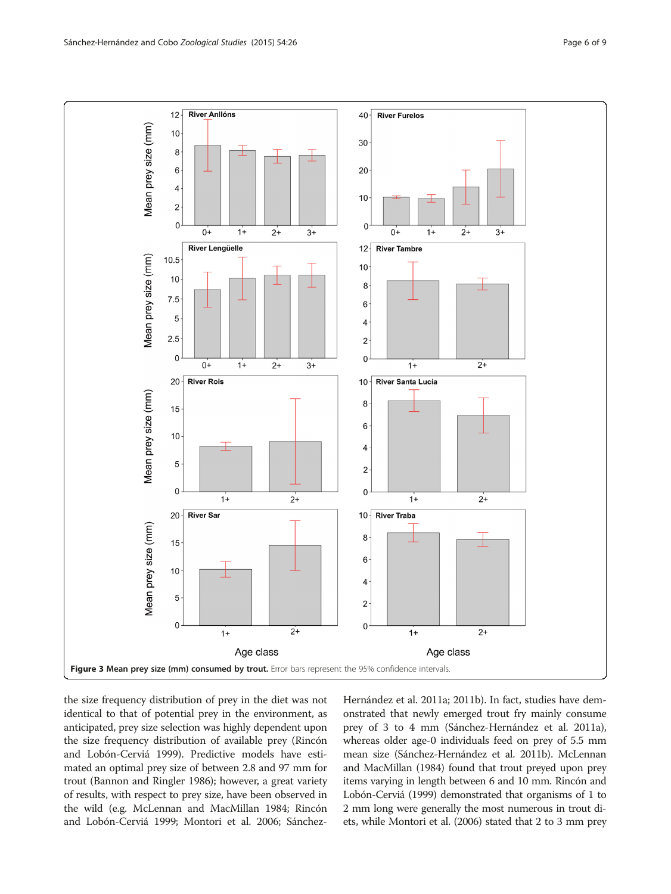<span id="page-5-0"></span>

the size frequency distribution of prey in the diet was not identical to that of potential prey in the environment, as anticipated, prey size selection was highly dependent upon the size frequency distribution of available prey (Rincón and Lobón-Cerviá [1999\)](#page-7-0). Predictive models have estimated an optimal prey size of between 2.8 and 97 mm for trout (Bannon and Ringler [1986\)](#page-7-0); however, a great variety of results, with respect to prey size, have been observed in the wild (e.g. McLennan and MacMillan [1984;](#page-7-0) Rincón and Lobón-Cerviá [1999](#page-7-0); Montori et al. [2006](#page-7-0); SánchezHernández et al. [2011a](#page-8-0); [2011b\)](#page-8-0). In fact, studies have demonstrated that newly emerged trout fry mainly consume prey of 3 to 4 mm (Sánchez-Hernández et al. [2011a](#page-8-0)), whereas older age-0 individuals feed on prey of 5.5 mm mean size (Sánchez-Hernández et al. [2011b\)](#page-8-0). McLennan and MacMillan ([1984\)](#page-7-0) found that trout preyed upon prey items varying in length between 6 and 10 mm. Rincón and Lobón-Cerviá ([1999\)](#page-7-0) demonstrated that organisms of 1 to 2 mm long were generally the most numerous in trout diets, while Montori et al. [\(2006\)](#page-7-0) stated that 2 to 3 mm prey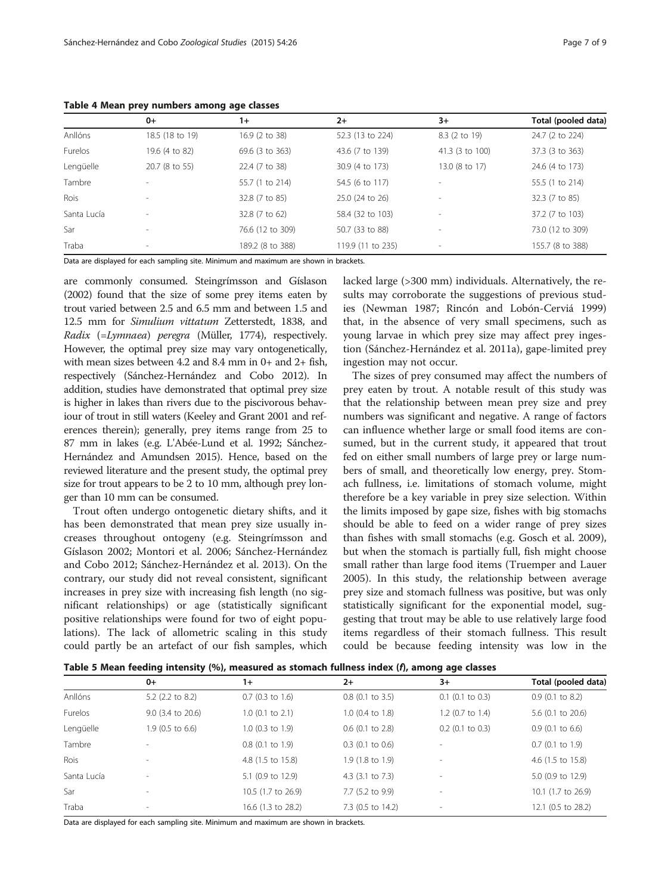<span id="page-6-0"></span>Table 4 Mean prey numbers among age classes

|             | $0+$                     | $1+$             | $2+$              | $3+$                     | Total (pooled data) |
|-------------|--------------------------|------------------|-------------------|--------------------------|---------------------|
| Anllóns     | 18.5 (18 to 19)          | 16.9 (2 to 38)   | 52.3 (13 to 224)  | 8.3 (2 to 19)            | 24.7 (2 to 224)     |
| Furelos     | 19.6 (4 to 82)           | 69.6 (3 to 363)  | 43.6 (7 to 139)   | 41.3 (3 to 100)          | 37.3 (3 to 363)     |
| Lengüelle   | 20.7 (8 to 55)           | 22.4 (7 to 38)   | 30.9 (4 to 173)   | 13.0 (8 to 17)           | 24.6 (4 to 173)     |
| Tambre      |                          | 55.7 (1 to 214)  | 54.5 (6 to 117)   | $\overline{\phantom{a}}$ | 55.5 (1 to 214)     |
| Rois        | $\overline{\phantom{a}}$ | 32.8 (7 to 85)   | 25.0 (24 to 26)   | $\sim$                   | 32.3 (7 to 85)      |
| Santa Lucía | $\overline{\phantom{a}}$ | 32.8 (7 to 62)   | 58.4 (32 to 103)  | $\sim$                   | 37.2 (7 to 103)     |
| Sar         | $\overline{\phantom{a}}$ | 76.6 (12 to 309) | 50.7 (33 to 88)   | $\overline{\phantom{a}}$ | 73.0 (12 to 309)    |
| Traba       | $\overline{\phantom{a}}$ | 189.2 (8 to 388) | 119.9 (11 to 235) | $\overline{\phantom{a}}$ | 155.7 (8 to 388)    |

Data are displayed for each sampling site. Minimum and maximum are shown in brackets.

are commonly consumed. Steingrímsson and Gíslason ([2002\)](#page-8-0) found that the size of some prey items eaten by trout varied between 2.5 and 6.5 mm and between 1.5 and 12.5 mm for Simulium vittatum Zetterstedt, 1838, and Radix (=Lymnaea) peregra (Müller, 1774), respectively. However, the optimal prey size may vary ontogenetically, with mean sizes between 4.2 and 8.4 mm in 0+ and 2+ fish, respectively (Sánchez-Hernández and Cobo [2012\)](#page-8-0). In addition, studies have demonstrated that optimal prey size is higher in lakes than rivers due to the piscivorous behaviour of trout in still waters (Keeley and Grant [2001](#page-7-0) and references therein); generally, prey items range from 25 to 87 mm in lakes (e.g. L'Abée-Lund et al. [1992](#page-7-0); Sánchez-Hernández and Amundsen [2015\)](#page-8-0). Hence, based on the reviewed literature and the present study, the optimal prey size for trout appears to be 2 to 10 mm, although prey longer than 10 mm can be consumed.

Trout often undergo ontogenetic dietary shifts, and it has been demonstrated that mean prey size usually increases throughout ontogeny (e.g. Steingrímsson and Gíslason [2002](#page-8-0); Montori et al. [2006;](#page-7-0) Sánchez-Hernández and Cobo [2012;](#page-8-0) Sánchez-Hernández et al. [2013\)](#page-8-0). On the contrary, our study did not reveal consistent, significant increases in prey size with increasing fish length (no significant relationships) or age (statistically significant positive relationships were found for two of eight populations). The lack of allometric scaling in this study could partly be an artefact of our fish samples, which lacked large (>300 mm) individuals. Alternatively, the results may corroborate the suggestions of previous studies (Newman [1987;](#page-7-0) Rincón and Lobón-Cerviá [1999](#page-7-0)) that, in the absence of very small specimens, such as young larvae in which prey size may affect prey ingestion (Sánchez-Hernández et al. [2011a\)](#page-8-0), gape-limited prey ingestion may not occur.

The sizes of prey consumed may affect the numbers of prey eaten by trout. A notable result of this study was that the relationship between mean prey size and prey numbers was significant and negative. A range of factors can influence whether large or small food items are consumed, but in the current study, it appeared that trout fed on either small numbers of large prey or large numbers of small, and theoretically low energy, prey. Stomach fullness, i.e. limitations of stomach volume, might therefore be a key variable in prey size selection. Within the limits imposed by gape size, fishes with big stomachs should be able to feed on a wider range of prey sizes than fishes with small stomachs (e.g. Gosch et al. [2009](#page-7-0)), but when the stomach is partially full, fish might choose small rather than large food items (Truemper and Lauer [2005](#page-8-0)). In this study, the relationship between average prey size and stomach fullness was positive, but was only statistically significant for the exponential model, suggesting that trout may be able to use relatively large food items regardless of their stomach fullness. This result could be because feeding intensity was low in the

Table 5 Mean feeding intensity (%), measured as stomach fullness index (f), among age classes

|             | $0+$                     | $1+$               | $2+$                        | $3+$                         | Total (pooled data)          |
|-------------|--------------------------|--------------------|-----------------------------|------------------------------|------------------------------|
| Anllóns     | 5.2 (2.2 to 8.2)         | $0.7$ (0.3 to 1.6) | $0.8$ (0.1 to 3.5)          | $0.1$ (0.1 to 0.3)           | $0.9$ (0.1 to 8.2)           |
| Furelos     | $9.0$ (3.4 to 20.6)      | $1.0$ (0.1 to 2.1) | $1.0$ (0.4 to 1.8)          | $1.2$ (0.7 to 1.4)           | 5.6 $(0.1 \text{ to } 20.6)$ |
| Lengüelle   | $1.9$ (0.5 to 6.6)       | $1.0$ (0.3 to 1.9) | $0.6$ (0.1 to 2.8)          | $0.2$ (0.1 to 0.3)           | $0.9$ (0.1 to 6.6)           |
| Tambre      |                          | $0.8$ (0.1 to 1.9) | $0.3$ (0.1 to 0.6)          | $\qquad \qquad \blacksquare$ | $0.7$ (0.1 to 1.9)           |
| <b>Rois</b> | $\overline{\phantom{a}}$ | 4.8 (1.5 to 15.8)  | 1.9 (1.8 to 1.9)            | $\qquad \qquad \blacksquare$ | 4.6 (1.5 to 15.8)            |
| Santa Lucía | $\overline{\phantom{a}}$ | 5.1 (0.9 to 12.9)  | 4.3 $(3.1 \text{ to } 7.3)$ | $\overline{\phantom{0}}$     | 5.0 (0.9 to 12.9)            |
| Sar         | $\overline{\phantom{a}}$ | 10.5 (1.7 to 26.9) | 7.7 (5.2 to 9.9)            | $\overline{\phantom{0}}$     | 10.1 (1.7 to 26.9)           |
| Traba       | $\overline{\phantom{a}}$ | 16.6 (1.3 to 28.2) | 7.3 (0.5 to 14.2)           | -                            | 12.1 (0.5 to 28.2)           |

Data are displayed for each sampling site. Minimum and maximum are shown in brackets.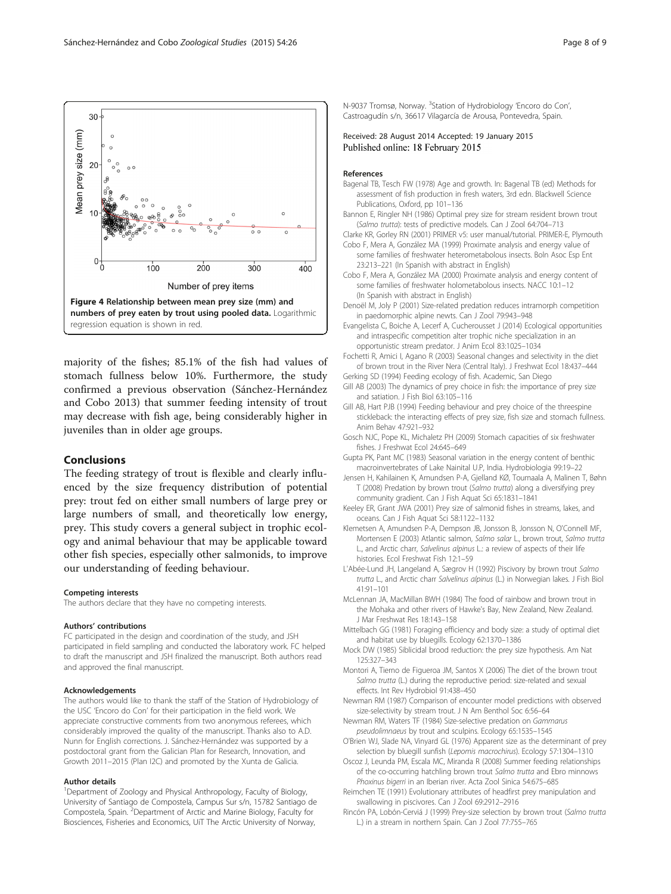<span id="page-7-0"></span>

majority of the fishes; 85.1% of the fish had values of stomach fullness below 10%. Furthermore, the study confirmed a previous observation (Sánchez-Hernández and Cobo [2013](#page-8-0)) that summer feeding intensity of trout may decrease with fish age, being considerably higher in juveniles than in older age groups.

#### Conclusions

The feeding strategy of trout is flexible and clearly influenced by the size frequency distribution of potential prey: trout fed on either small numbers of large prey or large numbers of small, and theoretically low energy, prey. This study covers a general subject in trophic ecology and animal behaviour that may be applicable toward other fish species, especially other salmonids, to improve our understanding of feeding behaviour.

#### Competing interests

The authors declare that they have no competing interests.

#### Authors' contributions

FC participated in the design and coordination of the study, and JSH participated in field sampling and conducted the laboratory work. FC helped to draft the manuscript and JSH finalized the manuscript. Both authors read and approved the final manuscript.

#### Acknowledgements

The authors would like to thank the staff of the Station of Hydrobiology of the USC 'Encoro do Con' for their participation in the field work. We appreciate constructive comments from two anonymous referees, which considerably improved the quality of the manuscript. Thanks also to A.D. Nunn for English corrections. J. Sánchez-Hernández was supported by a postdoctoral grant from the Galician Plan for Research, Innovation, and Growth 2011–2015 (Plan I2C) and promoted by the Xunta de Galicia.

#### Author details

<sup>1</sup>Department of Zoology and Physical Anthropology, Faculty of Biology, University of Santiago de Compostela, Campus Sur s/n, 15782 Santiago de Compostela, Spain. <sup>2</sup> Department of Arctic and Marine Biology, Faculty for Biosciences, Fisheries and Economics, UiT The Arctic University of Norway,

N-9037 Tromsø, Norway. <sup>3</sup>Station of Hydrobiology 'Encoro do Con', Castroagudín s/n, 36617 Vilagarcía de Arousa, Pontevedra, Spain.

Received: 28 August 2014 Accepted: 19 January 2015 Published online: 18 February 2015

#### References

- Bagenal TB, Tesch FW (1978) Age and growth. In: Bagenal TB (ed) Methods for assessment of fish production in fresh waters, 3rd edn. Blackwell Science Publications, Oxford, pp 101–136
- Bannon E, Ringler NH (1986) Optimal prey size for stream resident brown trout (Salmo trutta): tests of predictive models. Can J Zool 64:704–713

Clarke KR, Gorley RN (2001) PRIMER v5: user manual/tutorial. PRIMER-E, Plymouth

- Cobo F, Mera A, González MA (1999) Proximate analysis and energy value of some families of freshwater heterometabolous insects. Boln Asoc Esp Ent 23:213–221 (In Spanish with abstract in English)
- Cobo F, Mera A, González MA (2000) Proximate analysis and energy content of some families of freshwater holometabolous insects. NACC 10:1–12 (In Spanish with abstract in English)
- Denoël M, Joly P (2001) Size-related predation reduces intramorph competition in paedomorphic alpine newts. Can J Zool 79:943–948
- Evangelista C, Boiche A, Lecerf A, Cucherousset J (2014) Ecological opportunities and intraspecific competition alter trophic niche specialization in an opportunistic stream predator. J Anim Ecol 83:1025–1034
- Fochetti R, Amici I, Agano R (2003) Seasonal changes and selectivity in the diet of brown trout in the River Nera (Central Italy). J Freshwat Ecol 18:437–444 Gerking SD (1994) Feeding ecology of fish. Academic, San Diego
- Gill AB (2003) The dynamics of prey choice in fish: the importance of prey size and satiation. J Fish Biol 63:105–116
- Gill AB, Hart PJB (1994) Feeding behaviour and prey choice of the threespine stickleback: the interacting effects of prey size, fish size and stomach fullness. Anim Behav 47:921–932
- Gosch NJC, Pope KL, Michaletz PH (2009) Stomach capacities of six freshwater fishes. J Freshwat Ecol 24:645–649
- Gupta PK, Pant MC (1983) Seasonal variation in the energy content of benthic macroinvertebrates of Lake Nainital U.P, India. Hydrobiologia 99:19–22
- Jensen H, Kahilainen K, Amundsen P-A, Gjelland KØ, Toumaala A, Malinen T, Bøhn T (2008) Predation by brown trout (Salmo trutta) along a diversifying prey community gradient. Can J Fish Aquat Sci 65:1831–1841
- Keeley ER, Grant JWA (2001) Prey size of salmonid fishes in streams, lakes, and oceans. Can J Fish Aquat Sci 58:1122–1132
- Klemetsen A, Amundsen P-A, Dempson JB, Jonsson B, Jonsson N, O'Connell MF, Mortensen E (2003) Atlantic salmon, Salmo salar L., brown trout, Salmo trutta L., and Arctic charr, Salvelinus alpinus L.: a review of aspects of their life histories. Ecol Freshwat Fish 12:1–59
- L'Abée-Lund JH, Langeland A, Sægrov H (1992) Piscivory by brown trout Salmo trutta L., and Arctic charr Salvelinus alpinus (L.) in Norwegian lakes. J Fish Biol 41:91–101
- McLennan JA, MacMillan BWH (1984) The food of rainbow and brown trout in the Mohaka and other rivers of Hawke's Bay, New Zealand, New Zealand. J Mar Freshwat Res 18:143–158
- Mittelbach GG (1981) Foraging efficiency and body size: a study of optimal diet and habitat use by bluegills. Ecology 62:1370–1386
- Mock DW (1985) Siblicidal brood reduction: the prey size hypothesis. Am Nat 125:327–343
- Montori A, Tierno de Figueroa JM, Santos X (2006) The diet of the brown trout Salmo trutta (L.) during the reproductive period: size-related and sexual effects. Int Rev Hydrobiol 91:438–450
- Newman RM (1987) Comparison of encounter model predictions with observed size-selectivity by stream trout. J N Am Benthol Soc 6:56–64
- Newman RM, Waters TF (1984) Size-selective predation on Gammarus pseudolimnaeus by trout and sculpins. Ecology 65:1535–1545
- O'Brien WJ, Slade NA, Vinyard GL (1976) Apparent size as the determinant of prey selection by bluegill sunfish (Lepomis macrochirus). Ecology 57:1304–1310
- Oscoz J, Leunda PM, Escala MC, Miranda R (2008) Summer feeding relationships of the co-occurring hatchling brown trout Salmo trutta and Ebro minnows Phoxinus bigerri in an Iberian river. Acta Zool Sinica 54:675–685
- Reimchen TE (1991) Evolutionary attributes of headfirst prey manipulation and swallowing in piscivores. Can J Zool 69:2912–2916
- Rincón PA, Lobón-Cerviá J (1999) Prey-size selection by brown trout (Salmo trutta L.) in a stream in northern Spain. Can J Zool 77:755–765